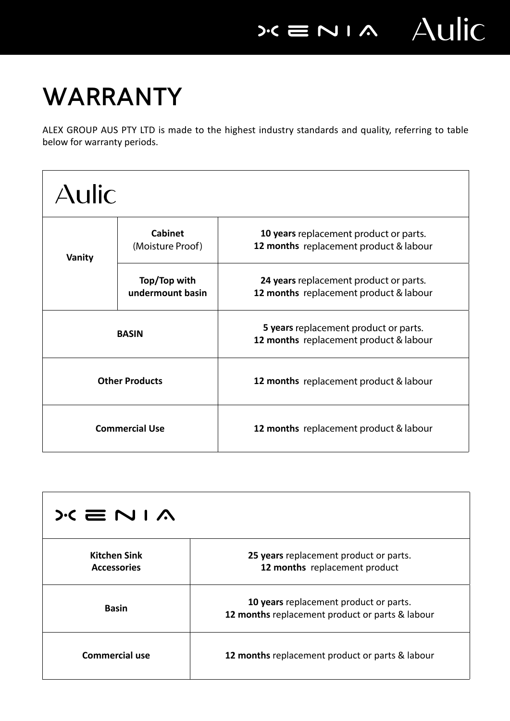**WARRANTY**

ALEX GROUP AUS PTY LTD is made to the highest industry standards and quality, referring to table below for warranty periods.

| <b>Aulic</b>          |                                    |                                                                                  |  |
|-----------------------|------------------------------------|----------------------------------------------------------------------------------|--|
| Vanity                | <b>Cabinet</b><br>(Moisture Proof) | 10 years replacement product or parts.<br>12 months replacement product & labour |  |
|                       | Top/Top with<br>undermount basin   | 24 years replacement product or parts.<br>12 months replacement product & labour |  |
| <b>BASIN</b>          |                                    | 5 years replacement product or parts.<br>12 months replacement product & labour  |  |
| <b>Other Products</b> |                                    | <b>12 months</b> replacement product & labour                                    |  |
| <b>Commercial Use</b> |                                    | 12 months replacement product & labour                                           |  |

| $\lambda$ I N $\equiv$ N I $\Lambda$      |                                                                                           |  |
|-------------------------------------------|-------------------------------------------------------------------------------------------|--|
| <b>Kitchen Sink</b><br><b>Accessories</b> | 25 years replacement product or parts.<br>12 months replacement product                   |  |
| <b>Basin</b>                              | 10 years replacement product or parts.<br>12 months replacement product or parts & labour |  |
| <b>Commercial use</b>                     | 12 months replacement product or parts & labour                                           |  |